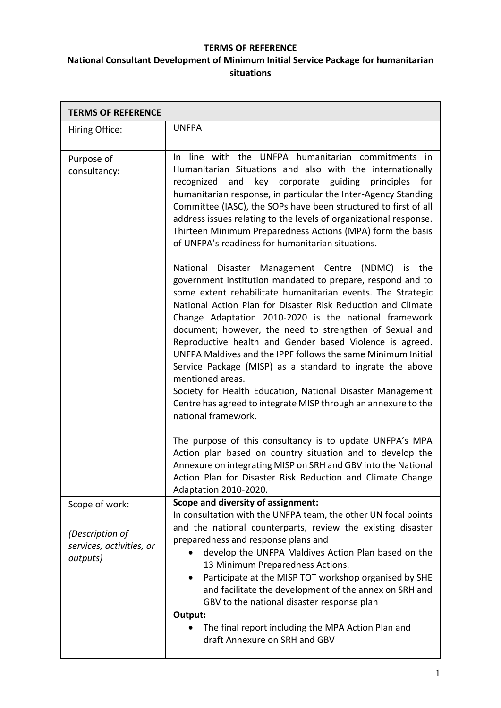## **TERMS OF REFERENCE**

## **National Consultant Development of Minimum Initial Service Package for humanitarian situations**

| <b>TERMS OF REFERENCE</b>                                                 |                                                                                                                                                                                                                                                                                                                                                                                                                                                                                                                                                                                                                                                                                                                                        |  |
|---------------------------------------------------------------------------|----------------------------------------------------------------------------------------------------------------------------------------------------------------------------------------------------------------------------------------------------------------------------------------------------------------------------------------------------------------------------------------------------------------------------------------------------------------------------------------------------------------------------------------------------------------------------------------------------------------------------------------------------------------------------------------------------------------------------------------|--|
| Hiring Office:                                                            | <b>UNFPA</b>                                                                                                                                                                                                                                                                                                                                                                                                                                                                                                                                                                                                                                                                                                                           |  |
| Purpose of<br>consultancy:                                                | In line with the UNFPA humanitarian commitments in<br>Humanitarian Situations and also with the internationally<br>and key corporate guiding principles<br>recognized<br>for<br>humanitarian response, in particular the Inter-Agency Standing<br>Committee (IASC), the SOPs have been structured to first of all<br>address issues relating to the levels of organizational response.<br>Thirteen Minimum Preparedness Actions (MPA) form the basis<br>of UNFPA's readiness for humanitarian situations.                                                                                                                                                                                                                              |  |
|                                                                           | National Disaster Management Centre (NDMC) is the<br>government institution mandated to prepare, respond and to<br>some extent rehabilitate humanitarian events. The Strategic<br>National Action Plan for Disaster Risk Reduction and Climate<br>Change Adaptation 2010-2020 is the national framework<br>document; however, the need to strengthen of Sexual and<br>Reproductive health and Gender based Violence is agreed.<br>UNFPA Maldives and the IPPF follows the same Minimum Initial<br>Service Package (MISP) as a standard to ingrate the above<br>mentioned areas.<br>Society for Health Education, National Disaster Management<br>Centre has agreed to integrate MISP through an annexure to the<br>national framework. |  |
|                                                                           | The purpose of this consultancy is to update UNFPA's MPA<br>Action plan based on country situation and to develop the<br>Annexure on integrating MISP on SRH and GBV into the National<br>Action Plan for Disaster Risk Reduction and Climate Change<br>Adaptation 2010-2020.                                                                                                                                                                                                                                                                                                                                                                                                                                                          |  |
| Scope of work:<br>(Description of<br>services, activities, or<br>outputs) | Scope and diversity of assignment:<br>In consultation with the UNFPA team, the other UN focal points<br>and the national counterparts, review the existing disaster<br>preparedness and response plans and<br>develop the UNFPA Maldives Action Plan based on the<br>13 Minimum Preparedness Actions.<br>Participate at the MISP TOT workshop organised by SHE<br>and facilitate the development of the annex on SRH and<br>GBV to the national disaster response plan<br>Output:<br>The final report including the MPA Action Plan and<br>draft Annexure on SRH and GBV                                                                                                                                                               |  |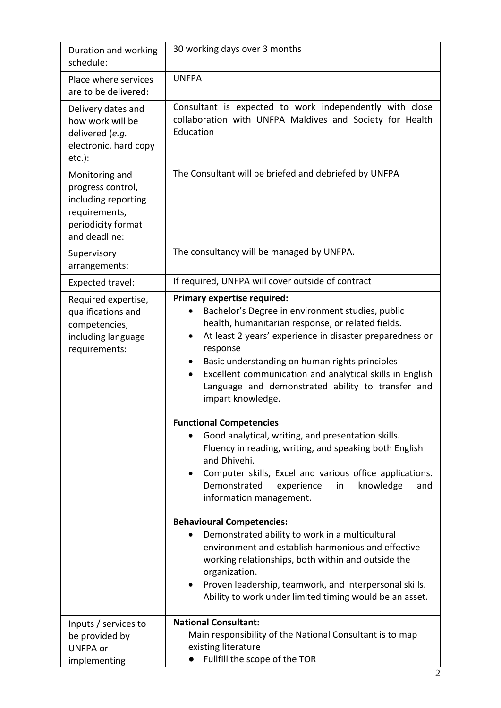| Duration and working<br>schedule:                                                                                  | 30 working days over 3 months                                                                                                                                                                                                                                                                                                                                                                                                                                                                                                                                                                                                                                                                                                                                                |
|--------------------------------------------------------------------------------------------------------------------|------------------------------------------------------------------------------------------------------------------------------------------------------------------------------------------------------------------------------------------------------------------------------------------------------------------------------------------------------------------------------------------------------------------------------------------------------------------------------------------------------------------------------------------------------------------------------------------------------------------------------------------------------------------------------------------------------------------------------------------------------------------------------|
| Place where services<br>are to be delivered:                                                                       | <b>UNFPA</b>                                                                                                                                                                                                                                                                                                                                                                                                                                                                                                                                                                                                                                                                                                                                                                 |
| Delivery dates and<br>how work will be<br>delivered (e.g.<br>electronic, hard copy<br>$etc.$ ):                    | Consultant is expected to work independently with close<br>collaboration with UNFPA Maldives and Society for Health<br>Education                                                                                                                                                                                                                                                                                                                                                                                                                                                                                                                                                                                                                                             |
| Monitoring and<br>progress control,<br>including reporting<br>requirements,<br>periodicity format<br>and deadline: | The Consultant will be briefed and debriefed by UNFPA                                                                                                                                                                                                                                                                                                                                                                                                                                                                                                                                                                                                                                                                                                                        |
| Supervisory<br>arrangements:                                                                                       | The consultancy will be managed by UNFPA.                                                                                                                                                                                                                                                                                                                                                                                                                                                                                                                                                                                                                                                                                                                                    |
| Expected travel:                                                                                                   | If required, UNFPA will cover outside of contract                                                                                                                                                                                                                                                                                                                                                                                                                                                                                                                                                                                                                                                                                                                            |
| Required expertise,<br>qualifications and<br>competencies,<br>including language<br>requirements:                  | <b>Primary expertise required:</b><br>Bachelor's Degree in environment studies, public<br>health, humanitarian response, or related fields.<br>At least 2 years' experience in disaster preparedness or<br>response<br>Basic understanding on human rights principles<br>Excellent communication and analytical skills in English<br>Language and demonstrated ability to transfer and<br>impart knowledge.<br><b>Functional Competencies</b><br>Good analytical, writing, and presentation skills.<br>Fluency in reading, writing, and speaking both English<br>and Dhivehi.<br>Computer skills, Excel and various office applications.<br>$\bullet$<br>Demonstrated<br>in<br>experience<br>knowledge<br>and<br>information management.<br><b>Behavioural Competencies:</b> |
|                                                                                                                    | Demonstrated ability to work in a multicultural<br>environment and establish harmonious and effective<br>working relationships, both within and outside the<br>organization.<br>Proven leadership, teamwork, and interpersonal skills.<br>$\bullet$<br>Ability to work under limited timing would be an asset.                                                                                                                                                                                                                                                                                                                                                                                                                                                               |
| Inputs / services to<br>be provided by<br><b>UNFPA or</b><br>implementing                                          | <b>National Consultant:</b><br>Main responsibility of the National Consultant is to map<br>existing literature<br>Fullfill the scope of the TOR                                                                                                                                                                                                                                                                                                                                                                                                                                                                                                                                                                                                                              |